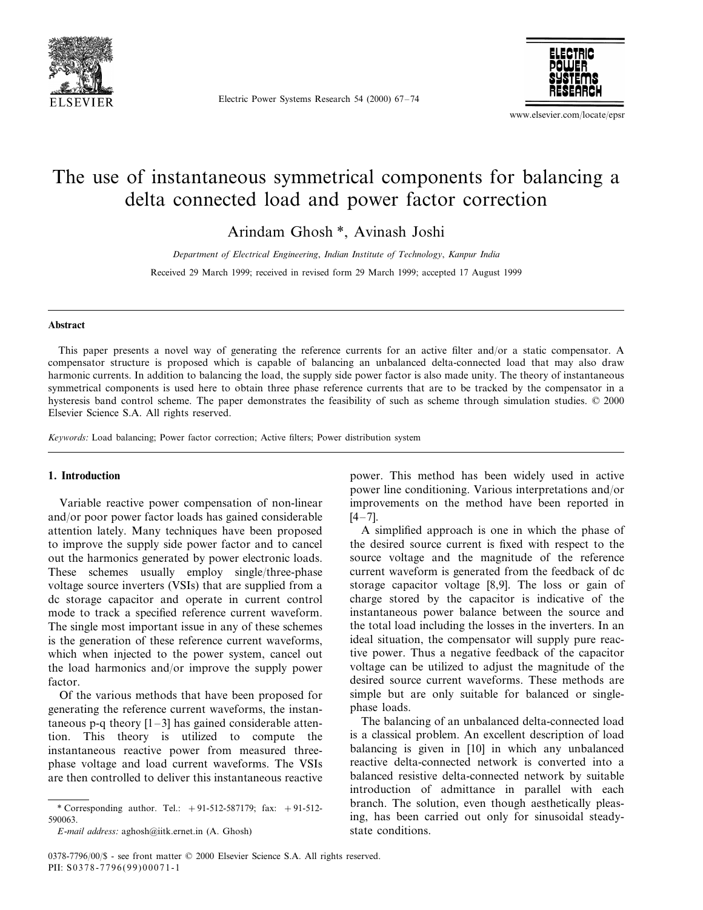

Electric Power Systems Research 54 (2000) 67–74



www.elsevier.com/locate/epsr

## The use of instantaneous symmetrical components for balancing a delta connected load and power factor correction

Arindam Ghosh \*, Avinash Joshi

*Department of Electrical Engineering*, *Indian Institute of Technology*, *Kanpur India* Received 29 March 1999; received in revised form 29 March 1999; accepted 17 August 1999

#### **Abstract**

This paper presents a novel way of generating the reference currents for an active filter and/or a static compensator. A compensator structure is proposed which is capable of balancing an unbalanced delta-connected load that may also draw harmonic currents. In addition to balancing the load, the supply side power factor is also made unity. The theory of instantaneous symmetrical components is used here to obtain three phase reference currents that are to be tracked by the compensator in a hysteresis band control scheme. The paper demonstrates the feasibility of such as scheme through simulation studies. © 2000 Elsevier Science S.A. All rights reserved.

*Keywords*: Load balancing; Power factor correction; Active filters; Power distribution system

### **1. Introduction**

Variable reactive power compensation of non-linear and/or poor power factor loads has gained considerable attention lately. Many techniques have been proposed to improve the supply side power factor and to cancel out the harmonics generated by power electronic loads. These schemes usually employ single/three-phase voltage source inverters (VSIs) that are supplied from a dc storage capacitor and operate in current control mode to track a specified reference current waveform. The single most important issue in any of these schemes is the generation of these reference current waveforms, which when injected to the power system, cancel out the load harmonics and/or improve the supply power factor.

Of the various methods that have been proposed for generating the reference current waveforms, the instantaneous p-q theory  $[1-3]$  has gained considerable attention. This theory is utilized to compute the instantaneous reactive power from measured threephase voltage and load current waveforms. The VSIs are then controlled to deliver this instantaneous reactive

\* Corresponding author. Tel.: +91-512-587179; fax: +91-512- 590063.

*E*-*mail address*: aghosh@iitk.ernet.in (A. Ghosh)

power. This method has been widely used in active power line conditioning. Various interpretations and/or improvements on the method have been reported in  $[4-7]$ .

A simplified approach is one in which the phase of the desired source current is fixed with respect to the source voltage and the magnitude of the reference current waveform is generated from the feedback of dc storage capacitor voltage [8,9]. The loss or gain of charge stored by the capacitor is indicative of the instantaneous power balance between the source and the total load including the losses in the inverters. In an ideal situation, the compensator will supply pure reactive power. Thus a negative feedback of the capacitor voltage can be utilized to adjust the magnitude of the desired source current waveforms. These methods are simple but are only suitable for balanced or singlephase loads.

The balancing of an unbalanced delta-connected load is a classical problem. An excellent description of load balancing is given in [10] in which any unbalanced reactive delta-connected network is converted into a balanced resistive delta-connected network by suitable introduction of admittance in parallel with each branch. The solution, even though aesthetically pleasing, has been carried out only for sinusoidal steadystate conditions.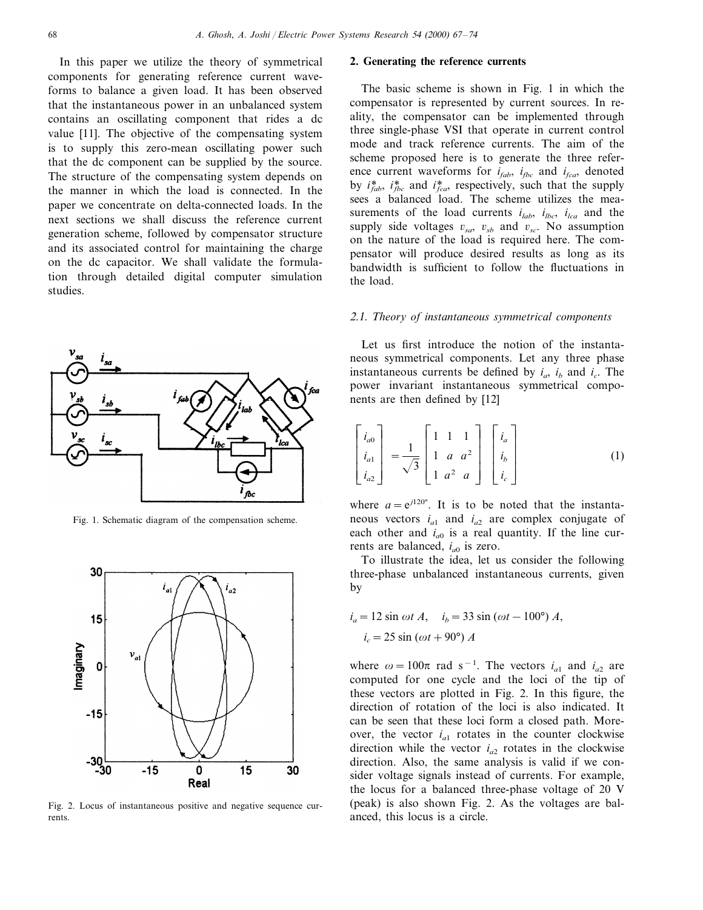In this paper we utilize the theory of symmetrical components for generating reference current waveforms to balance a given load. It has been observed that the instantaneous power in an unbalanced system contains an oscillating component that rides a dc value [11]. The objective of the compensating system is to supply this zero-mean oscillating power such that the dc component can be supplied by the source. The structure of the compensating system depends on the manner in which the load is connected. In the paper we concentrate on delta-connected loads. In the next sections we shall discuss the reference current generation scheme, followed by compensator structure and its associated control for maintaining the charge on the dc capacitor. We shall validate the formulation through detailed digital computer simulation studies.



Fig. 1. Schematic diagram of the compensation scheme.



Fig. 2. Locus of instantaneous positive and negative sequence currents.

### **2. Generating the reference currents**

The basic scheme is shown in Fig. 1 in which the compensator is represented by current sources. In reality, the compensator can be implemented through three single-phase VSI that operate in current control mode and track reference currents. The aim of the scheme proposed here is to generate the three reference current waveforms for  $i_{fab}$ ,  $i_{fbc}$  and  $i_{fca}$ , denoted by  $i^*_{fab}$ ,  $i^*_{fbc}$  and  $i^*_{fca}$ , respectively, such that the supply sees a balanced load. The scheme utilizes the measurements of the load currents  $i_{lab}$ ,  $i_{lbc}$ ,  $i_{lca}$  and the supply side voltages  $v_{sa}$ ,  $v_{sb}$  and  $v_{sc}$ . No assumption on the nature of the load is required here. The compensator will produce desired results as long as its bandwidth is sufficient to follow the fluctuations in the load.

#### <sup>2</sup>.1. *Theory of instantaneous symmetrical components*

Let us first introduce the notion of the instantaneous symmetrical components. Let any three phase instantaneous currents be defined by  $i_a$ ,  $i_b$  and  $i_c$ . The power invariant instantaneous symmetrical components are then defined by [12]

$$
\begin{bmatrix}\ni_{a0} \\
i_{a1} \\
i_{a2}\n\end{bmatrix} = \frac{1}{\sqrt{3}} \begin{bmatrix}\n1 & 1 & 1 \\
1 & a & a^2 \\
1 & a^2 & a\n\end{bmatrix} \begin{bmatrix}\ni_a \\
i_b \\
i_c\n\end{bmatrix}
$$
\n(1)

where  $a = e^{j120^\circ}$ . It is to be noted that the instantaneous vectors *ia*<sup>1</sup> and *ia*<sup>2</sup> are complex conjugate of each other and  $i_{a0}$  is a real quantity. If the line currents are balanced,  $i_{a0}$  is zero.

To illustrate the idea, let us consider the following three-phase unbalanced instantaneous currents, given by

$$
i_a = 12 \sin \omega t A
$$
,  $i_b = 33 \sin (\omega t - 100^\circ) A$ ,  
 $i_c = 25 \sin (\omega t + 90^\circ) A$ 

where  $\omega = 100\pi$  rad s<sup>-1</sup>. The vectors  $i_{a1}$  and  $i_{a2}$  are computed for one cycle and the loci of the tip of these vectors are plotted in Fig. 2. In this figure, the direction of rotation of the loci is also indicated. It can be seen that these loci form a closed path. Moreover, the vector  $i_{a1}$  rotates in the counter clockwise direction while the vector  $i_{a2}$  rotates in the clockwise direction. Also, the same analysis is valid if we consider voltage signals instead of currents. For example, the locus for a balanced three-phase voltage of 20 V (peak) is also shown Fig. 2. As the voltages are balanced, this locus is a circle.